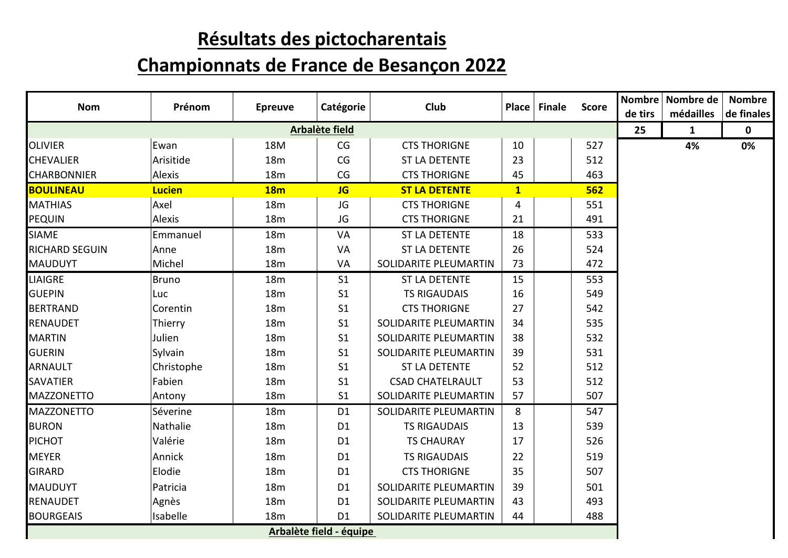## **Résultats des pictocharentais**

## **Championnats de France de Besançon 2022**

| <b>Nom</b>            | Prénom        | <b>Epreuve</b>  | Catégorie               | Club                    | Place Finale | <b>Score</b> | de tirs | Nombre Nombre de<br>médailles | <b>Nombre</b><br>de finales |
|-----------------------|---------------|-----------------|-------------------------|-------------------------|--------------|--------------|---------|-------------------------------|-----------------------------|
|                       |               |                 | <b>Arbalète field</b>   |                         |              |              | 25      | $\mathbf{1}$                  | $\mathbf 0$                 |
| <b>OLIVIER</b>        | Ewan          | 18M             | CG                      | <b>CTS THORIGNE</b>     | 10           | 527          |         | 4%                            | 0%                          |
| <b>CHEVALIER</b>      | Arisitide     | 18 <sub>m</sub> | CG                      | <b>ST LA DETENTE</b>    | 23           | 512          |         |                               |                             |
| <b>CHARBONNIER</b>    | Alexis        | 18m             | CG                      | <b>CTS THORIGNE</b>     | 45           | 463          |         |                               |                             |
| BOULINEAU             | <b>Lucien</b> | <b>18m</b>      | <b>JG</b>               | <b>ST LA DETENTE</b>    | $\mathbf{1}$ | 562          |         |                               |                             |
| <b>MATHIAS</b>        | Axel          | 18m             | JG                      | <b>CTS THORIGNE</b>     | 4            | 551          |         |                               |                             |
| <b>PEQUIN</b>         | Alexis        | 18m             | JG                      | <b>CTS THORIGNE</b>     | 21           | 491          |         |                               |                             |
| <b>SIAME</b>          | Emmanuel      | 18m             | VA                      | <b>ST LA DETENTE</b>    | 18           | 533          |         |                               |                             |
| <b>RICHARD SEGUIN</b> | Anne          | 18m             | VA                      | <b>ST LA DETENTE</b>    | 26           | 524          |         |                               |                             |
| <b>MAUDUYT</b>        | Michel        | <b>18m</b>      | VA                      | SOLIDARITE PLEUMARTIN   | 73           | 472          |         |                               |                             |
| <b>LIAIGRE</b>        | <b>Bruno</b>  | 18m             | S <sub>1</sub>          | ST LA DETENTE           | 15           | 553          |         |                               |                             |
| <b>GUEPIN</b>         | Luc           | 18m             | S <sub>1</sub>          | <b>TS RIGAUDAIS</b>     | 16           | 549          |         |                               |                             |
| <b>BERTRAND</b>       | Corentin      | 18m             | S <sub>1</sub>          | <b>CTS THORIGNE</b>     | 27           | 542          |         |                               |                             |
| <b>RENAUDET</b>       | Thierry       | 18m             | S <sub>1</sub>          | SOLIDARITE PLEUMARTIN   | 34           | 535          |         |                               |                             |
| <b>MARTIN</b>         | Julien        | 18m             | S <sub>1</sub>          | SOLIDARITE PLEUMARTIN   | 38           | 532          |         |                               |                             |
| <b>GUERIN</b>         | Sylvain       | 18 <sub>m</sub> | S <sub>1</sub>          | SOLIDARITE PLEUMARTIN   | 39           | 531          |         |                               |                             |
| <b>ARNAULT</b>        | Christophe    | 18m             | S <sub>1</sub>          | <b>ST LA DETENTE</b>    | 52           | 512          |         |                               |                             |
| <b>SAVATIER</b>       | Fabien        | 18m             | S <sub>1</sub>          | <b>CSAD CHATELRAULT</b> | 53           | 512          |         |                               |                             |
| <b>MAZZONETTO</b>     | Antony        | 18m             | S <sub>1</sub>          | SOLIDARITE PLEUMARTIN   | 57           | 507          |         |                               |                             |
| <b>MAZZONETTO</b>     | Séverine      | <b>18m</b>      | D <sub>1</sub>          | SOLIDARITE PLEUMARTIN   | 8            | 547          |         |                               |                             |
| <b>BURON</b>          | Nathalie      | 18m             | D <sub>1</sub>          | <b>TS RIGAUDAIS</b>     | 13           | 539          |         |                               |                             |
| PICHOT                | Valérie       | 18m             | D <sub>1</sub>          | <b>TS CHAURAY</b>       | 17           | 526          |         |                               |                             |
| <b>MEYER</b>          | Annick        | 18m             | D <sub>1</sub>          | <b>TS RIGAUDAIS</b>     | 22           | 519          |         |                               |                             |
| <b>GIRARD</b>         | Elodie        | 18m             | D <sub>1</sub>          | <b>CTS THORIGNE</b>     | 35           | 507          |         |                               |                             |
| <b>MAUDUYT</b>        | Patricia      | 18m             | D <sub>1</sub>          | SOLIDARITE PLEUMARTIN   | 39           | 501          |         |                               |                             |
| <b>RENAUDET</b>       | Agnès         | 18m             | D <sub>1</sub>          | SOLIDARITE PLEUMARTIN   | 43           | 493          |         |                               |                             |
| <b>BOURGEAIS</b>      | Isabelle      | <b>18m</b>      | D <sub>1</sub>          | SOLIDARITE PLEUMARTIN   | 44           | 488          |         |                               |                             |
|                       |               |                 | Arbalète field - équipe |                         |              |              |         |                               |                             |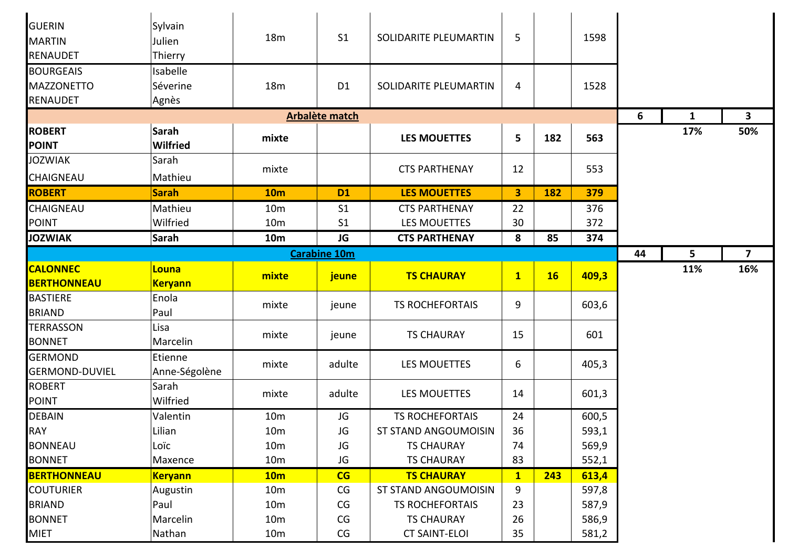| <b>GUERIN</b><br><b>MARTIN</b><br>RENAUDET               | Sylvain<br>Julien<br>Thierry  | 18 <sub>m</sub> | S <sub>1</sub>      | SOLIDARITE PLEUMARTIN  | 5            |           | 1598  |    |     |                         |
|----------------------------------------------------------|-------------------------------|-----------------|---------------------|------------------------|--------------|-----------|-------|----|-----|-------------------------|
| <b>BOURGEAIS</b><br><b>MAZZONETTO</b><br><b>RENAUDET</b> | Isabelle<br>Séverine<br>Agnès | <b>18m</b>      | D <sub>1</sub>      | SOLIDARITE PLEUMARTIN  | 4            |           | 1528  |    |     |                         |
|                                                          |                               |                 | Arbalète match      |                        |              |           |       | 6  | 1   | 3                       |
| <b>ROBERT</b><br><b>POINT</b>                            | Sarah<br><b>Wilfried</b>      | mixte           |                     | <b>LES MOUETTES</b>    | 5            | 182       | 563   |    | 17% | 50%                     |
| <b>JOZWIAK</b><br>CHAIGNEAU                              | Sarah<br>Mathieu              | mixte           |                     | <b>CTS PARTHENAY</b>   | 12           |           | 553   |    |     |                         |
| <b>ROBERT</b>                                            | <b>Sarah</b>                  | <b>10m</b>      | <b>D1</b>           | <b>LES MOUETTES</b>    | $\mathbf{3}$ | 182       | 379   |    |     |                         |
| <b>CHAIGNEAU</b>                                         | Mathieu                       | 10 <sub>m</sub> | S <sub>1</sub>      | <b>CTS PARTHENAY</b>   | 22           |           | 376   |    |     |                         |
| POINT                                                    | Wilfried                      | 10 <sub>m</sub> | S <sub>1</sub>      | <b>LES MOUETTES</b>    | 30           |           | 372   |    |     |                         |
| <b>JOZWIAK</b>                                           | Sarah                         | <b>10m</b>      | <b>JG</b>           | <b>CTS PARTHENAY</b>   | 8            | 85        | 374   |    |     |                         |
|                                                          |                               |                 | <b>Carabine 10m</b> |                        |              |           |       | 44 | 5   | $\overline{\mathbf{z}}$ |
| <b>CALONNEC</b>                                          | <b>Louna</b>                  | mixte           | jeune               | <b>TS CHAURAY</b>      | $\mathbf{1}$ | <b>16</b> | 409,3 |    | 11% | 16%                     |
| <b>BERTHONNEAU</b>                                       | <b>Keryann</b>                |                 |                     |                        |              |           |       |    |     |                         |
| <b>BASTIERE</b><br><b>BRIAND</b>                         | Enola<br>Paul                 | mixte           | jeune               | <b>TS ROCHEFORTAIS</b> | 9            |           | 603,6 |    |     |                         |
| <b>TERRASSON</b><br><b>BONNET</b>                        | Lisa<br>Marcelin              | mixte           | jeune               | <b>TS CHAURAY</b>      | 15           |           | 601   |    |     |                         |
| <b>GERMOND</b><br><b>GERMOND-DUVIEL</b>                  | Etienne<br>Anne-Ségolène      | mixte           | adulte              | <b>LES MOUETTES</b>    | 6            |           | 405,3 |    |     |                         |
| <b>ROBERT</b><br><b>POINT</b>                            | Sarah<br>Wilfried             | mixte           | adulte              | <b>LES MOUETTES</b>    | 14           |           | 601,3 |    |     |                         |
| <b>DEBAIN</b>                                            | Valentin                      | 10 <sub>m</sub> | JG                  | <b>TS ROCHEFORTAIS</b> | 24           |           | 600,5 |    |     |                         |
| <b>RAY</b>                                               | Lilian                        | 10 <sub>m</sub> | JG                  | ST STAND ANGOUMOISIN   | 36           |           | 593,1 |    |     |                         |
| <b>BONNEAU</b>                                           | Loïc                          | 10 <sub>m</sub> | JG                  | <b>TS CHAURAY</b>      | 74           |           | 569,9 |    |     |                         |
| <b>BONNET</b>                                            | Maxence                       | 10 <sub>m</sub> | JG                  | <b>TS CHAURAY</b>      | 83           |           | 552,1 |    |     |                         |
| <b>BERTHONNEAU</b>                                       | <b>Keryann</b>                | 10 <sub>m</sub> | CG                  | <b>TS CHAURAY</b>      | $\mathbf{1}$ | 243       | 613,4 |    |     |                         |
| <b>COUTURIER</b>                                         | Augustin                      | 10 <sub>m</sub> | CG                  | ST STAND ANGOUMOISIN   | 9            |           | 597,8 |    |     |                         |
| <b>BRIAND</b>                                            | Paul                          | 10 <sub>m</sub> | CG                  | <b>TS ROCHEFORTAIS</b> | 23           |           | 587,9 |    |     |                         |
| <b>BONNET</b>                                            | Marcelin                      | 10 <sub>m</sub> | CG                  | <b>TS CHAURAY</b>      | 26           |           | 586,9 |    |     |                         |
| <b>MIET</b>                                              | Nathan                        | 10 <sub>m</sub> | CG                  | <b>CT SAINT-ELOI</b>   | 35           |           | 581,2 |    |     |                         |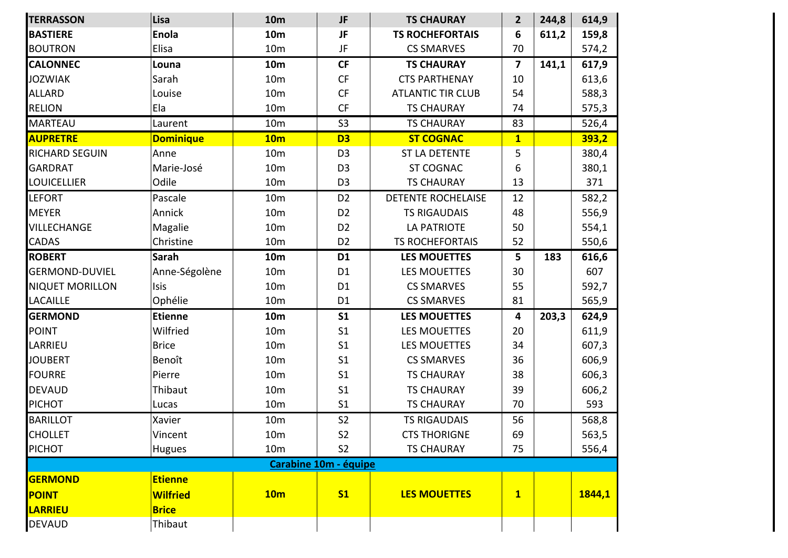| <b>TERRASSON</b>       | Lisa             | <b>10m</b>      | JF                    | <b>TS CHAURAY</b>         | $\overline{2}$          | 244,8 | 614,9  |
|------------------------|------------------|-----------------|-----------------------|---------------------------|-------------------------|-------|--------|
| <b>BASTIERE</b>        | <b>Enola</b>     | <b>10m</b>      | <b>JF</b>             | <b>TS ROCHEFORTAIS</b>    | 6                       | 611,2 | 159,8  |
| <b>BOUTRON</b>         | Elisa            | 10 <sub>m</sub> | JF                    | <b>CS SMARVES</b>         | 70                      |       | 574,2  |
| <b>CALONNEC</b>        | Louna            | <b>10m</b>      | <b>CF</b>             | <b>TS CHAURAY</b>         | $\overline{\mathbf{z}}$ | 141,1 | 617,9  |
| <b>JOZWIAK</b>         | Sarah            | 10 <sub>m</sub> | CF                    | <b>CTS PARTHENAY</b>      | 10                      |       | 613,6  |
| <b>ALLARD</b>          | Louise           | 10 <sub>m</sub> | CF                    | <b>ATLANTIC TIR CLUB</b>  | 54                      |       | 588,3  |
| <b>RELION</b>          | Ela              | 10 <sub>m</sub> | <b>CF</b>             | <b>TS CHAURAY</b>         | 74                      |       | 575,3  |
| <b>MARTEAU</b>         | Laurent          | 10 <sub>m</sub> | S <sub>3</sub>        | <b>TS CHAURAY</b>         | 83                      |       | 526,4  |
| <b>AUPRETRE</b>        | <b>Dominique</b> | 10 <sub>m</sub> | D <sub>3</sub>        | <b>ST COGNAC</b>          | $\overline{\mathbf{1}}$ |       | 393,2  |
| <b>RICHARD SEGUIN</b>  | Anne             | 10 <sub>m</sub> | D <sub>3</sub>        | ST LA DETENTE             | 5                       |       | 380,4  |
| <b>GARDRAT</b>         | Marie-José       | 10 <sub>m</sub> | D <sub>3</sub>        | <b>ST COGNAC</b>          | 6                       |       | 380,1  |
| <b>LOUICELLIER</b>     | Odile            | 10 <sub>m</sub> | D <sub>3</sub>        | <b>TS CHAURAY</b>         | 13                      |       | 371    |
| <b>LEFORT</b>          | Pascale          | 10 <sub>m</sub> | D <sub>2</sub>        | <b>DETENTE ROCHELAISE</b> | 12                      |       | 582,2  |
| <b>MEYER</b>           | Annick           | 10 <sub>m</sub> | D <sub>2</sub>        | <b>TS RIGAUDAIS</b>       | 48                      |       | 556,9  |
| <b>VILLECHANGE</b>     | Magalie          | 10 <sub>m</sub> | D <sub>2</sub>        | <b>LA PATRIOTE</b>        | 50                      |       | 554,1  |
| <b>CADAS</b>           | Christine        | 10 <sub>m</sub> | D <sub>2</sub>        | <b>TS ROCHEFORTAIS</b>    | 52                      |       | 550,6  |
| <b>ROBERT</b>          | Sarah            | <b>10m</b>      | D <sub>1</sub>        | <b>LES MOUETTES</b>       | 5                       | 183   | 616,6  |
| <b>GERMOND-DUVIEL</b>  | Anne-Ségolène    | 10 <sub>m</sub> | D <sub>1</sub>        | <b>LES MOUETTES</b>       | 30                      |       | 607    |
| <b>NIQUET MORILLON</b> | Isis             | 10 <sub>m</sub> | D <sub>1</sub>        | <b>CS SMARVES</b>         | 55                      |       | 592,7  |
| <b>LACAILLE</b>        | Ophélie          | 10 <sub>m</sub> | D <sub>1</sub>        | <b>CS SMARVES</b>         | 81                      |       | 565,9  |
| <b>GERMOND</b>         | <b>Etienne</b>   | <b>10m</b>      | S <sub>1</sub>        | <b>LES MOUETTES</b>       | 4                       | 203,3 | 624,9  |
| <b>POINT</b>           | Wilfried         | 10 <sub>m</sub> | S <sub>1</sub>        | <b>LES MOUETTES</b>       | 20                      |       | 611,9  |
| LARRIEU                | <b>Brice</b>     | 10 <sub>m</sub> | S <sub>1</sub>        | <b>LES MOUETTES</b>       | 34                      |       | 607,3  |
| <b>JOUBERT</b>         | Benoît           | 10 <sub>m</sub> | S <sub>1</sub>        | <b>CS SMARVES</b>         | 36                      |       | 606,9  |
| <b>FOURRE</b>          | Pierre           | 10 <sub>m</sub> | S <sub>1</sub>        | <b>TS CHAURAY</b>         | 38                      |       | 606,3  |
| <b>DEVAUD</b>          | Thibaut          | 10 <sub>m</sub> | S <sub>1</sub>        | <b>TS CHAURAY</b>         | 39                      |       | 606,2  |
| <b>PICHOT</b>          | Lucas            | 10 <sub>m</sub> | S <sub>1</sub>        | <b>TS CHAURAY</b>         | 70                      |       | 593    |
| <b>BARILLOT</b>        | Xavier           | 10 <sub>m</sub> | S <sub>2</sub>        | <b>TS RIGAUDAIS</b>       | 56                      |       | 568,8  |
| <b>CHOLLET</b>         | Vincent          | 10 <sub>m</sub> | S <sub>2</sub>        | <b>CTS THORIGNE</b>       | 69                      |       | 563,5  |
| <b>PICHOT</b>          | <b>Hugues</b>    | 10 <sub>m</sub> | S <sub>2</sub>        | <b>TS CHAURAY</b>         | 75                      |       | 556,4  |
|                        |                  |                 | Carabine 10m - équipe |                           |                         |       |        |
| <b>GERMOND</b>         | <b>Etienne</b>   |                 |                       |                           |                         |       |        |
| POINT                  | <b>Wilfried</b>  | 10 <sub>m</sub> | S <sub>1</sub>        | <b>LES MOUETTES</b>       | $\mathbf{1}$            |       | 1844,1 |
| LARRIEU                | <b>Brice</b>     |                 |                       |                           |                         |       |        |
| <b>DEVAUD</b>          | Thibaut          |                 |                       |                           |                         |       |        |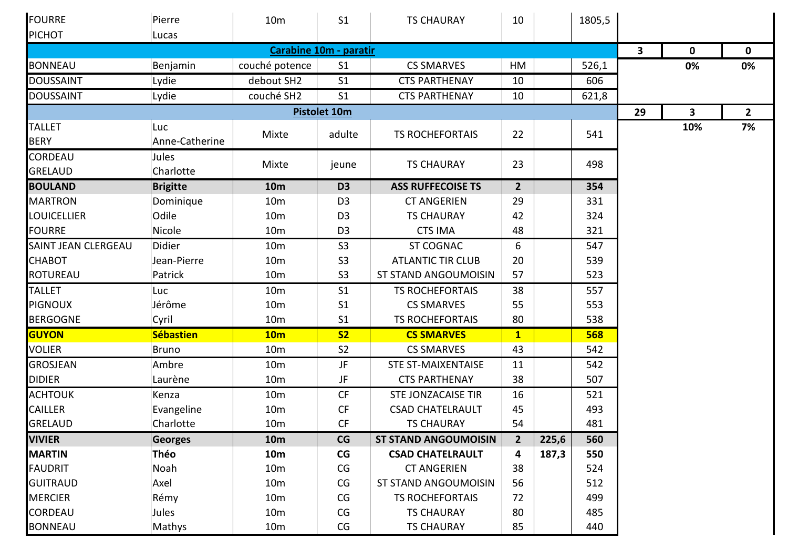| FOURRE                           | Pierre                | 10 <sub>m</sub> | S <sub>1</sub>      | <b>TS CHAURAY</b>           | 10             |       | 1805,5 |    |                         |             |
|----------------------------------|-----------------------|-----------------|---------------------|-----------------------------|----------------|-------|--------|----|-------------------------|-------------|
| <b>PICHOT</b>                    | Lucas                 |                 |                     |                             |                |       |        |    |                         |             |
|                                  |                       | $\mathbf{3}$    | $\mathbf 0$         | $\mathbf 0$                 |                |       |        |    |                         |             |
| <b>BONNEAU</b>                   | Benjamin              | couché potence  | S <sub>1</sub>      | <b>CS SMARVES</b>           | HM             |       | 526,1  |    | 0%                      | 0%          |
| <b>DOUSSAINT</b>                 | Lydie                 | debout SH2      | S <sub>1</sub>      | <b>CTS PARTHENAY</b>        | 10             |       | 606    |    |                         |             |
| <b>DOUSSAINT</b>                 | Lydie                 | couché SH2      | S <sub>1</sub>      | <b>CTS PARTHENAY</b>        | 10             |       | 621,8  |    |                         |             |
|                                  |                       |                 | <b>Pistolet 10m</b> |                             |                |       |        | 29 | $\overline{\mathbf{3}}$ | $2^{\circ}$ |
| <b>TALLET</b><br><b>BERY</b>     | Luc<br>Anne-Catherine | Mixte           | adulte              | <b>TS ROCHEFORTAIS</b>      | 22             |       | 541    |    | 10%                     | 7%          |
| <b>CORDEAU</b><br><b>GRELAUD</b> | Jules<br>Charlotte    | Mixte           | jeune               | <b>TS CHAURAY</b>           | 23             |       | 498    |    |                         |             |
| <b>BOULAND</b>                   | <b>Brigitte</b>       | <b>10m</b>      | D <sub>3</sub>      | <b>ASS RUFFECOISE TS</b>    | $\overline{2}$ |       | 354    |    |                         |             |
| <b>MARTRON</b>                   | Dominique             | 10 <sub>m</sub> | D <sub>3</sub>      | <b>CT ANGERIEN</b>          | 29             |       | 331    |    |                         |             |
| <b>LOUICELLIER</b>               | Odile                 | 10 <sub>m</sub> | D <sub>3</sub>      | <b>TS CHAURAY</b>           | 42             |       | 324    |    |                         |             |
| <b>FOURRE</b>                    | Nicole                | 10 <sub>m</sub> | D <sub>3</sub>      | <b>CTS IMA</b>              | 48             |       | 321    |    |                         |             |
| SAINT JEAN CLERGEAU              | Didier                | 10 <sub>m</sub> | S <sub>3</sub>      | ST COGNAC                   | 6              |       | 547    |    |                         |             |
| <b>CHABOT</b>                    | Jean-Pierre           | 10 <sub>m</sub> | S <sub>3</sub>      | <b>ATLANTIC TIR CLUB</b>    | 20             |       | 539    |    |                         |             |
| <b>ROTUREAU</b>                  | Patrick               | 10 <sub>m</sub> | S <sub>3</sub>      | ST STAND ANGOUMOISIN        | 57             |       | 523    |    |                         |             |
| <b>TALLET</b>                    | Luc                   | 10 <sub>m</sub> | S <sub>1</sub>      | <b>TS ROCHEFORTAIS</b>      | 38             |       | 557    |    |                         |             |
| <b>PIGNOUX</b>                   | Jérôme                | 10 <sub>m</sub> | S <sub>1</sub>      | <b>CS SMARVES</b>           | 55             |       | 553    |    |                         |             |
| <b>BERGOGNE</b>                  | Cyril                 | 10 <sub>m</sub> | S <sub>1</sub>      | <b>TS ROCHEFORTAIS</b>      | 80             |       | 538    |    |                         |             |
| GUYON                            | <b>Sébastien</b>      | 10 <sub>m</sub> | S <sub>2</sub>      | <b>CS SMARVES</b>           | $\mathbf{1}$   |       | 568    |    |                         |             |
| <b>VOLIER</b>                    | <b>Bruno</b>          | 10 <sub>m</sub> | S <sub>2</sub>      | <b>CS SMARVES</b>           | 43             |       | 542    |    |                         |             |
| <b>GROSJEAN</b>                  | Ambre                 | 10 <sub>m</sub> | JF                  | <b>STE ST-MAIXENTAISE</b>   | 11             |       | 542    |    |                         |             |
| <b>DIDIER</b>                    | Laurène               | 10 <sub>m</sub> | JF                  | <b>CTS PARTHENAY</b>        | 38             |       | 507    |    |                         |             |
| <b>ACHTOUK</b>                   | Kenza                 | 10 <sub>m</sub> | CF                  | STE JONZACAISE TIR          | 16             |       | 521    |    |                         |             |
| <b>CAILLER</b>                   | Evangeline            | 10 <sub>m</sub> | CF                  | <b>CSAD CHATELRAULT</b>     | 45             |       | 493    |    |                         |             |
| <b>GRELAUD</b>                   | Charlotte             | 10 <sub>m</sub> | CF                  | <b>TS CHAURAY</b>           | 54             |       | 481    |    |                         |             |
| <b>VIVIER</b>                    | <b>Georges</b>        | <b>10m</b>      | CG                  | <b>ST STAND ANGOUMOISIN</b> | $\overline{2}$ | 225,6 | 560    |    |                         |             |
| <b>MARTIN</b>                    | Théo                  | <b>10m</b>      | CG                  | <b>CSAD CHATELRAULT</b>     | 4              | 187,3 | 550    |    |                         |             |
| <b>FAUDRIT</b>                   | Noah                  | 10 <sub>m</sub> | CG                  | <b>CT ANGERIEN</b>          | 38             |       | 524    |    |                         |             |
| <b>GUITRAUD</b>                  | Axel                  | 10 <sub>m</sub> | CG                  | ST STAND ANGOUMOISIN        | 56             |       | 512    |    |                         |             |
| <b>MERCIER</b>                   | Rémy                  | 10 <sub>m</sub> | CG                  | <b>TS ROCHEFORTAIS</b>      | 72             |       | 499    |    |                         |             |
| <b>CORDEAU</b>                   | Jules                 | 10 <sub>m</sub> | CG                  | <b>TS CHAURAY</b>           | 80             |       | 485    |    |                         |             |
| <b>BONNEAU</b>                   | Mathys                | 10 <sub>m</sub> | CG                  | <b>TS CHAURAY</b>           | 85             |       | 440    |    |                         |             |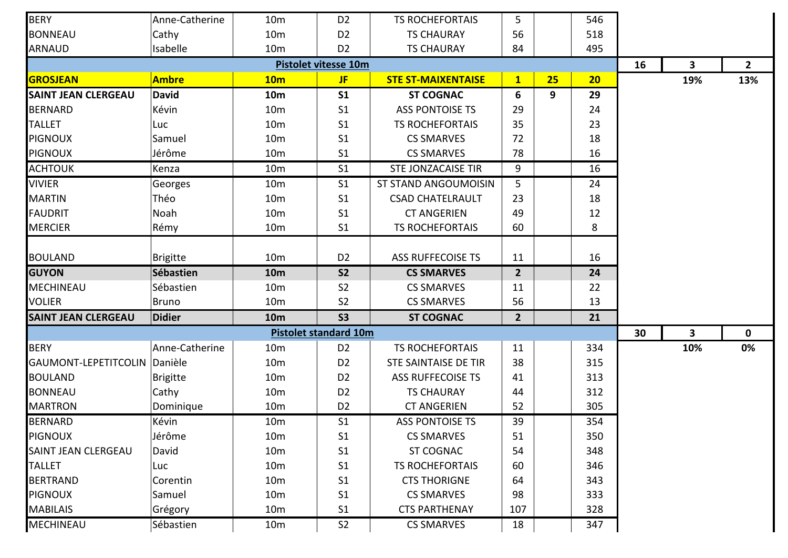| <b>BERY</b>                | Anne-Catherine  | 10 <sub>m</sub> | D <sub>2</sub>               | <b>TS ROCHEFORTAIS</b>    | 5              |    | 546 |    |     |              |
|----------------------------|-----------------|-----------------|------------------------------|---------------------------|----------------|----|-----|----|-----|--------------|
| <b>BONNEAU</b>             | Cathy           | 10 <sub>m</sub> | D <sub>2</sub>               | <b>TS CHAURAY</b>         | 56             |    | 518 |    |     |              |
| <b>ARNAUD</b>              | Isabelle        | 10 <sub>m</sub> | D <sub>2</sub>               | <b>TS CHAURAY</b>         | 84             |    | 495 |    |     |              |
|                            |                 |                 | <b>Pistolet vitesse 10m</b>  |                           |                |    |     | 16 | 3   | $2^{\circ}$  |
| <b>GROSJEAN</b>            | <b>Ambre</b>    | 10 <sub>m</sub> | <b>JF</b>                    | <b>STE ST-MAIXENTAISE</b> | $\mathbf{1}$   | 25 | 20  |    | 19% | 13%          |
| <b>SAINT JEAN CLERGEAU</b> | <b>David</b>    | <b>10m</b>      | S <sub>1</sub>               | <b>ST COGNAC</b>          | 6              | 9  | 29  |    |     |              |
| <b>BERNARD</b>             | Kévin           | 10 <sub>m</sub> | S <sub>1</sub>               | <b>ASS PONTOISE TS</b>    | 29             |    | 24  |    |     |              |
| <b>TALLET</b>              | Luc             | 10 <sub>m</sub> | S <sub>1</sub>               | <b>TS ROCHEFORTAIS</b>    | 35             |    | 23  |    |     |              |
| <b>PIGNOUX</b>             | Samuel          | 10 <sub>m</sub> | S <sub>1</sub>               | <b>CS SMARVES</b>         | 72             |    | 18  |    |     |              |
| <b>PIGNOUX</b>             | Jérôme          | 10 <sub>m</sub> | S <sub>1</sub>               | <b>CS SMARVES</b>         | 78             |    | 16  |    |     |              |
| <b>ACHTOUK</b>             | Kenza           | 10 <sub>m</sub> | S <sub>1</sub>               | <b>STE JONZACAISE TIR</b> | 9              |    | 16  |    |     |              |
| <b>VIVIER</b>              | Georges         | 10 <sub>m</sub> | S <sub>1</sub>               | ST STAND ANGOUMOISIN      | 5              |    | 24  |    |     |              |
| <b>MARTIN</b>              | Théo            | 10 <sub>m</sub> | S <sub>1</sub>               | <b>CSAD CHATELRAULT</b>   | 23             |    | 18  |    |     |              |
| <b>FAUDRIT</b>             | Noah            | 10 <sub>m</sub> | S <sub>1</sub>               | <b>CT ANGERIEN</b>        | 49             |    | 12  |    |     |              |
| <b>MERCIER</b>             | Rémy            | 10 <sub>m</sub> | S <sub>1</sub>               | <b>TS ROCHEFORTAIS</b>    | 60             |    | 8   |    |     |              |
|                            |                 |                 |                              |                           |                |    |     |    |     |              |
| <b>BOULAND</b>             | <b>Brigitte</b> | 10 <sub>m</sub> | D <sub>2</sub>               | ASS RUFFECOISE TS         | 11             |    | 16  |    |     |              |
| <b>GUYON</b>               | Sébastien       | <b>10m</b>      | <b>S2</b>                    | <b>CS SMARVES</b>         | $\overline{2}$ |    | 24  |    |     |              |
| <b>MECHINEAU</b>           | Sébastien       | 10 <sub>m</sub> | S <sub>2</sub>               | <b>CS SMARVES</b>         | 11             |    | 22  |    |     |              |
| <b>VOLIER</b>              | <b>Bruno</b>    | 10 <sub>m</sub> | S <sub>2</sub>               | <b>CS SMARVES</b>         | 56             |    | 13  |    |     |              |
| <b>SAINT JEAN CLERGEAU</b> | <b>Didier</b>   | <b>10m</b>      | <b>S3</b>                    | <b>ST COGNAC</b>          | $\overline{2}$ |    | 21  |    |     |              |
|                            |                 |                 | <b>Pistolet standard 10m</b> |                           |                |    |     | 30 | 3   | $\mathbf{0}$ |
| <b>BERY</b>                | Anne-Catherine  | 10 <sub>m</sub> | D <sub>2</sub>               | <b>TS ROCHEFORTAIS</b>    | 11             |    | 334 |    | 10% | 0%           |
| GAUMONT-LEPETITCOLIN       | Danièle         | 10 <sub>m</sub> | D <sub>2</sub>               | STE SAINTAISE DE TIR      | 38             |    | 315 |    |     |              |
| <b>BOULAND</b>             | <b>Brigitte</b> | 10 <sub>m</sub> | D <sub>2</sub>               | ASS RUFFECOISE TS         | 41             |    | 313 |    |     |              |
| <b>BONNEAU</b>             | Cathy           | 10 <sub>m</sub> | D <sub>2</sub>               | <b>TS CHAURAY</b>         | 44             |    | 312 |    |     |              |
| <b>MARTRON</b>             | Dominique       | 10 <sub>m</sub> | D <sub>2</sub>               | <b>CT ANGERIEN</b>        | 52             |    | 305 |    |     |              |
| <b>BERNARD</b>             | Kévin           | 10 <sub>m</sub> | S <sub>1</sub>               | <b>ASS PONTOISE TS</b>    | 39             |    | 354 |    |     |              |
| <b>PIGNOUX</b>             | Jérôme          | 10 <sub>m</sub> | S <sub>1</sub>               | <b>CS SMARVES</b>         | 51             |    | 350 |    |     |              |
| SAINT JEAN CLERGEAU        | David           | 10 <sub>m</sub> | S <sub>1</sub>               | ST COGNAC                 | 54             |    | 348 |    |     |              |
| <b>TALLET</b>              | Luc             | 10 <sub>m</sub> | S <sub>1</sub>               | <b>TS ROCHEFORTAIS</b>    | 60             |    | 346 |    |     |              |
| <b>BERTRAND</b>            | Corentin        | 10 <sub>m</sub> | S <sub>1</sub>               | <b>CTS THORIGNE</b>       | 64             |    | 343 |    |     |              |
| <b>PIGNOUX</b>             | Samuel          | 10 <sub>m</sub> | S <sub>1</sub>               | <b>CS SMARVES</b>         | 98             |    | 333 |    |     |              |
| <b>MABILAIS</b>            | Grégory         | 10 <sub>m</sub> | S <sub>1</sub>               | <b>CTS PARTHENAY</b>      | 107            |    | 328 |    |     |              |
| MECHINEAU                  | Sébastien       | 10 <sub>m</sub> | S <sub>2</sub>               | <b>CS SMARVES</b>         | 18             |    | 347 |    |     |              |
|                            |                 |                 |                              |                           |                |    |     |    |     |              |